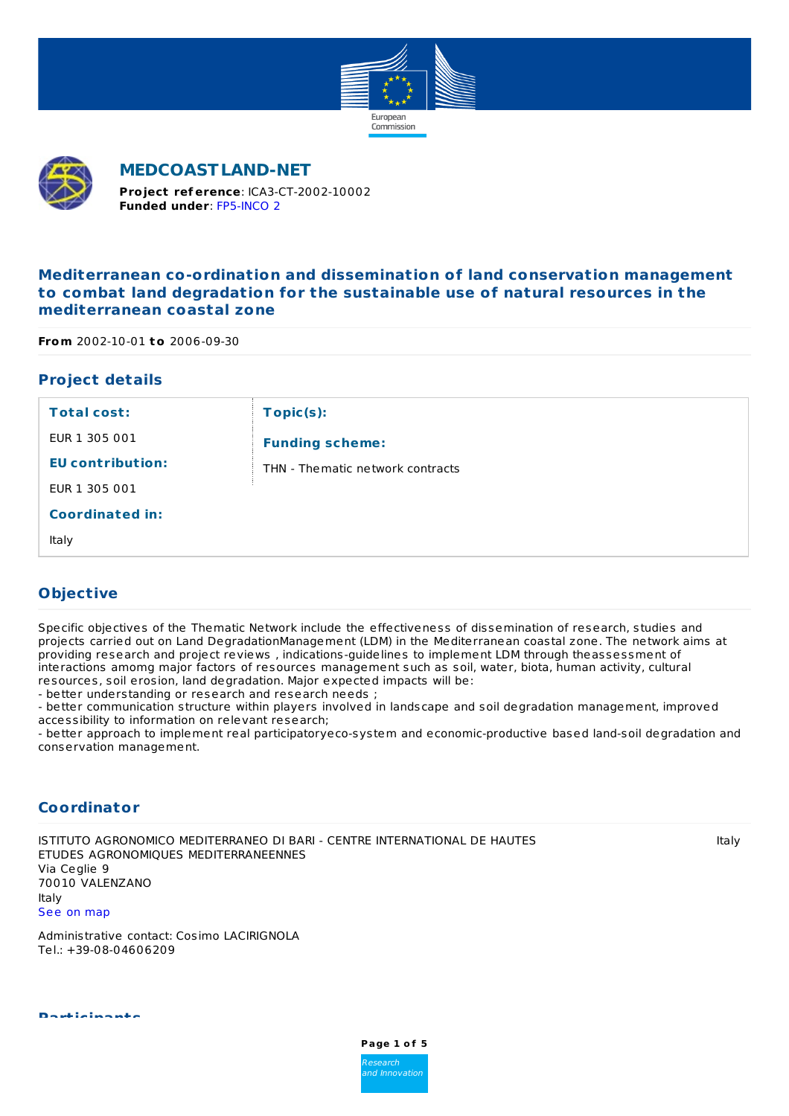



**MEDCOASTLAND-NET**

**Funded under**: [FP5-INCO](http://cordis.europa.eu/programme/rcn/644_en.html) 2 **Project ref erence**: ICA3-CT-2002-10002

# **Mediterranean co-ordination and dissemination of land conservation management to combat land degradation for the sustainable use of natural resources in the mediterranean coastal zone**

**From** 2002-10-01 **to** 2006-09-30

# **Project details**

| <b>Total cost:</b>      | Topic(s):                         |
|-------------------------|-----------------------------------|
| EUR 1 305 001           | <b>Funding scheme:</b>            |
| <b>EU</b> contribution: | THN - The matic network contracts |
| EUR 1 305 001           |                                   |
| <b>Coordinated in:</b>  |                                   |
| Italy                   |                                   |

### **Objective**

Specific objectives of the Thematic Network include the effectiveness of dissemination of research, studies and projects carried out on Land DegradationManagement (LDM) in the Mediterranean coastal zone. The network aims at providing research and project reviews , indications-guidelines to implement LDM through theassessment of interactions amomg major factors of resources management such as soil, water, biota, human activity, cultural resources, soil erosion, land degradation. Major expected impacts will be:

- better understanding or research and research needs ;

- better communication structure within players involved in landscape and soil degradation management, improved accessibility to information on relevant research;

- better approach to implement real participatoryeco-system and economic-productive based land-soil degradation and conservation management.

### **Coordinator**

Via Ceglie 9 70010 VALENZANO Italy See on [map](https://www.openstreetmap.org/?mlat=41.0434437&mlon=16.8808706#map=12/41.0434437/16.8808706) ISTITUTO AGRONOMICO MEDITERRANEO DI BARI - CENTRE INTERNATIONAL DE HAUTES ETUDES AGRONOMIQUES MEDITERRANEENNES

Administrative contact: Cosimo LACIRIGNOLA Tel.: +39-08-04606209

**Participants**



Italy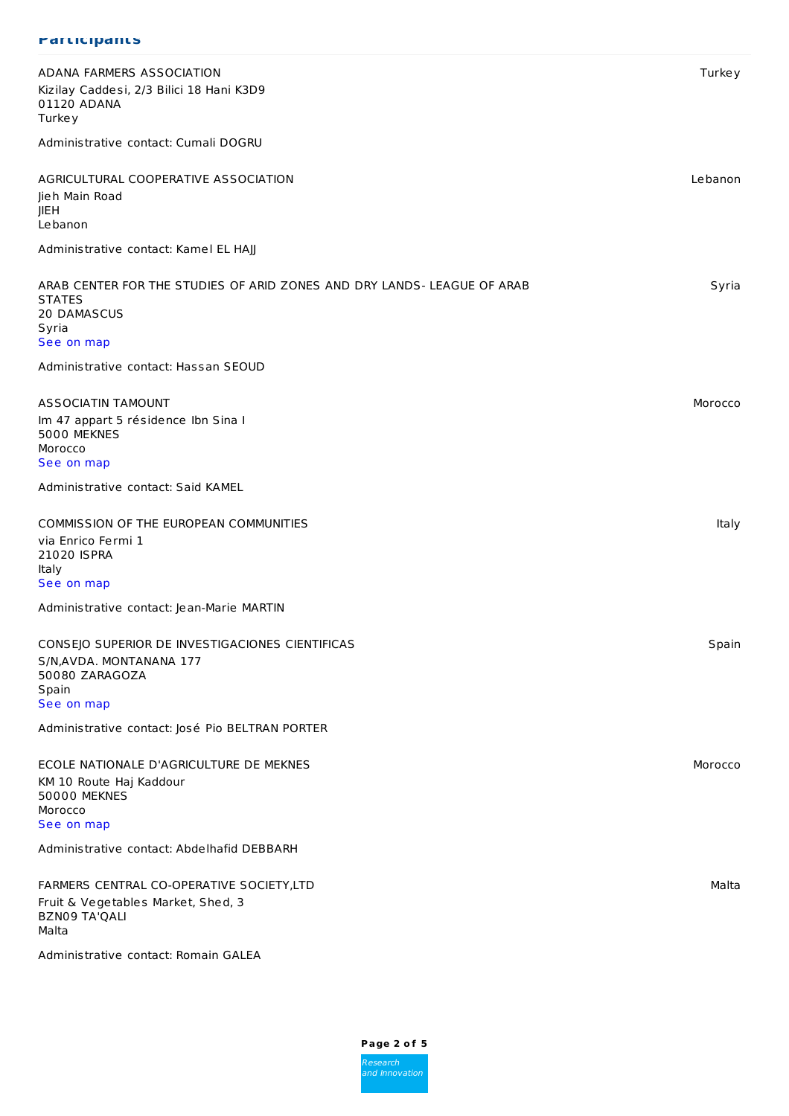#### **Participants**

| ADANA FARMERS ASSOCIATION<br>Kizilay Caddesi, 2/3 Bilici 18 Hani K3D9<br>01120 ADANA<br><b>Turkey</b>                                                    | <b>Turkey</b> |
|----------------------------------------------------------------------------------------------------------------------------------------------------------|---------------|
| Administrative contact: Cumali DOGRU                                                                                                                     |               |
| AGRICULTURAL COOPERATIVE ASSOCIATION<br>Jieh Main Road<br><b>JIEH</b><br>Lebanon                                                                         | Lebanon       |
| Administrative contact: Kamel EL HAJJ                                                                                                                    |               |
| ARAB CENTER FOR THE STUDIES OF ARID ZONES AND DRY LANDS- LEAGUE OF ARAB<br><b>STATES</b><br>20 DAMASCUS<br>Syria<br>See on map                           | Syria         |
| Administrative contact: Hassan SEOUD                                                                                                                     |               |
| <b>ASSOCIATIN TAMOUNT</b><br>Im 47 appart 5 résidence Ibn Sina I<br>5000 MEKNES<br>Morocco<br>See on map                                                 | Morocco       |
| Administrative contact: Said KAMEL                                                                                                                       |               |
| COMMISSION OF THE EUROPEAN COMMUNITIES<br>via Enrico Fermi 1<br>21020 ISPRA<br>Italy<br>See on map                                                       | Italy         |
| Administrative contact: Jean-Marie MARTIN                                                                                                                |               |
| CONSEJO SUPERIOR DE INVESTIGACIONES CIENTIFICAS<br>S/N, AVDA. MONTANANA 177<br>50080 ZARAGOZA<br>Spain<br>See on map                                     | Spain         |
| Administrative contact: José Pio BELTRAN PORTER                                                                                                          |               |
| ECOLE NATIONALE D'AGRICULTURE DE MEKNES<br>KM 10 Route Haj Kaddour<br><b>50000 MEKNES</b><br>Morocco<br>See on map                                       | Morocco       |
| Administrative contact: Abdelhafid DEBBARH                                                                                                               |               |
| FARMERS CENTRAL CO-OPERATIVE SOCIETY, LTD<br>Fruit & Vegetables Market, Shed, 3<br><b>BZN09 TA'QALI</b><br>Malta<br>Administrative contact: Romain GALEA | Malta         |

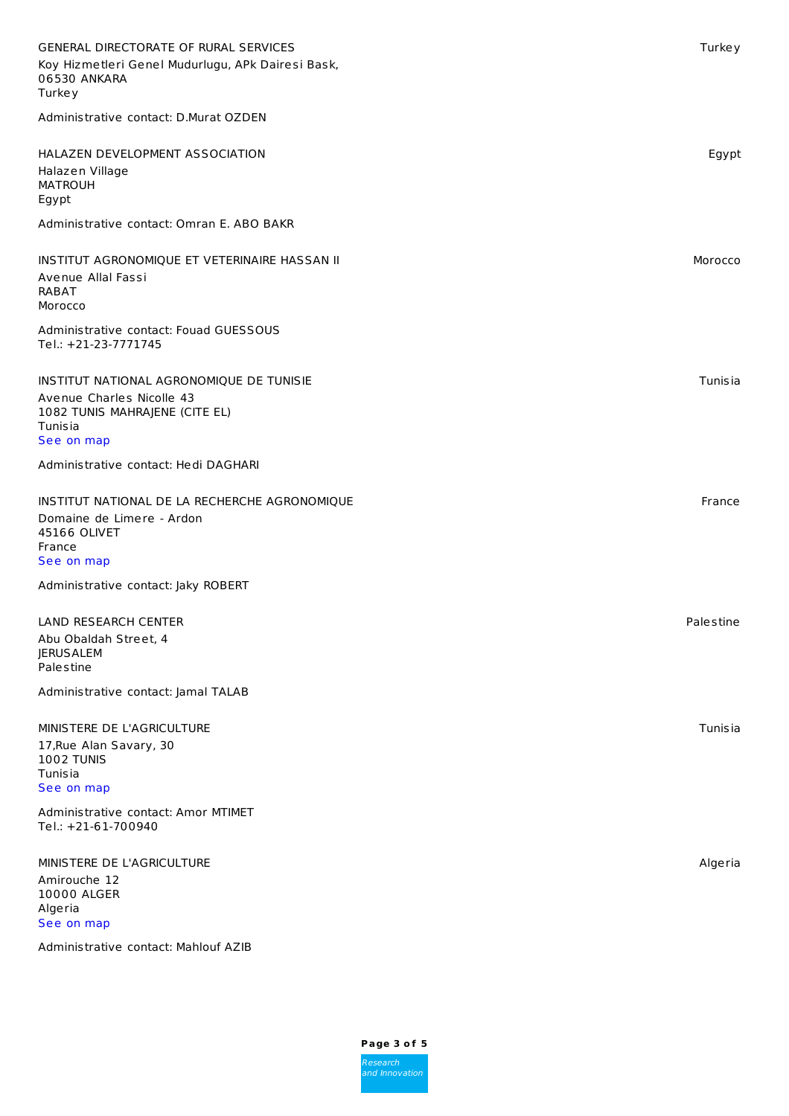| <b>GENERAL DIRECTORATE OF RURAL SERVICES</b><br>Koy Hizmetleri Genel Mudurlugu, APk Dairesi Bask,<br>06530 ANKARA<br><b>Turkey</b>      | Turkey         |
|-----------------------------------------------------------------------------------------------------------------------------------------|----------------|
| Administrative contact: D.Murat OZDEN                                                                                                   |                |
| HALAZEN DEVELOPMENT ASSOCIATION<br>Halazen Village<br><b>MATROUH</b><br>Egypt                                                           | Egypt          |
| Administrative contact: Omran E. ABO BAKR                                                                                               |                |
| INSTITUT AGRONOMIQUE ET VETERINAIRE HASSAN II<br>Avenue Allal Fassi<br><b>RABAT</b><br>Morocco                                          | Morocco        |
| Administrative contact: Fouad GUESSOUS<br>Tel.: +21-23-7771745                                                                          |                |
| INSTITUT NATIONAL AGRONOMIQUE DE TUNISIE<br>Avenue Charles Nicolle 43<br>1082 TUNIS MAHRAJENE (CITE EL)<br><b>Tunisia</b><br>See on map | Tunisia        |
| Administrative contact: Hedi DAGHARI                                                                                                    |                |
| INSTITUT NATIONAL DE LA RECHERCHE AGRONOMIQUE<br>Domaine de Limere - Ardon<br>45166 OLIVET<br>France<br>See on map                      | France         |
| Administrative contact: Jaky ROBERT                                                                                                     |                |
| LAND RESEARCH CENTER<br>Abu Obaldah Street, 4<br><b>JERUSALEM</b><br>Palestine                                                          | Palestine      |
| Administrative contact: Jamal TALAB                                                                                                     |                |
| MINISTERE DE L'AGRICULTURE<br>17, Rue Alan Savary, 30<br>1002 TUNIS<br><b>Tunisia</b><br>See on map                                     | <b>Tunisia</b> |
| Administrative contact: Amor MTIMET<br>Tel.: +21-61-700940                                                                              |                |
| MINISTERE DE L'AGRICULTURE<br>Amirouche 12<br>10000 ALGER<br>Algeria<br>See on map                                                      | Algeria        |

Administrative contact: Mahlouf AZIB

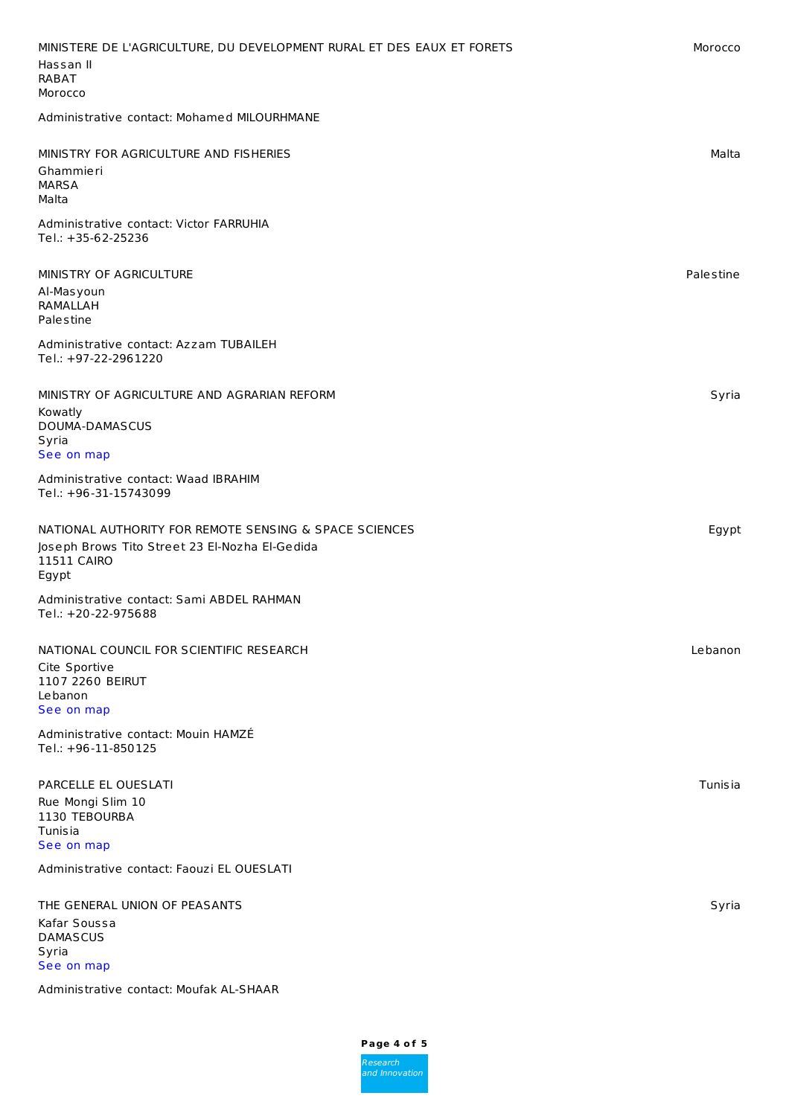| MINISTERE DE L'AGRICULTURE, DU DEVELOPMENT RURAL ET DES EAUX ET FORETS<br>Hassan II<br><b>RABAT</b><br>Morocco                   | Morocco        |
|----------------------------------------------------------------------------------------------------------------------------------|----------------|
| Administrative contact: Mohamed MILOURHMANE                                                                                      |                |
| MINISTRY FOR AGRICULTURE AND FISHERIES<br>Ghammieri<br><b>MARSA</b><br>Malta                                                     | Malta          |
| Administrative contact: Victor FARRUHIA<br>Tel.: +35-62-25236                                                                    |                |
| MINISTRY OF AGRICULTURE<br>Al-Masyoun<br><b>RAMALLAH</b><br>Palestine                                                            | Palestine      |
| Administrative contact: Azzam TUBAILEH<br>Tel.: +97-22-2961220                                                                   |                |
| MINISTRY OF AGRICULTURE AND AGRARIAN REFORM<br>Kowatly<br>DOUMA-DAMASCUS<br>Syria<br>See on map                                  | Syria          |
| Administrative contact: Waad IBRAHIM<br>Tel.: +96-31-15743099                                                                    |                |
| NATIONAL AUTHORITY FOR REMOTE SENSING & SPACE SCIENCES<br>Joseph Brows Tito Street 23 El-Nozha El-Gedida<br>11511 CAIRO<br>Egypt | Egypt          |
| Administrative contact: Sami ABDEL RAHMAN<br>Tel.: +20-22-975688                                                                 |                |
| NATIONAL COUNCIL FOR SCIENTIFIC RESEARCH<br>Cite Sportive<br>1107 2260 BEIRUT<br>Lebanon<br>See on map                           | Lebanon        |
| Administrative contact: Mouin HAMZÉ<br>Tel.: +96-11-850125                                                                       |                |
| PARCELLE EL OUESLATI<br>Rue Mongi Slim 10<br>1130 TEBOURBA<br><b>Tunisia</b><br>See on map                                       | <b>Tunisia</b> |
| Administrative contact: Faouzi EL OUESLATI                                                                                       |                |
| THE GENERAL UNION OF PEASANTS<br>Kafar Soussa<br><b>DAMASCUS</b><br>Syria<br>See on map                                          | Syria          |

Administrative contact: Moufak AL-SHAAR